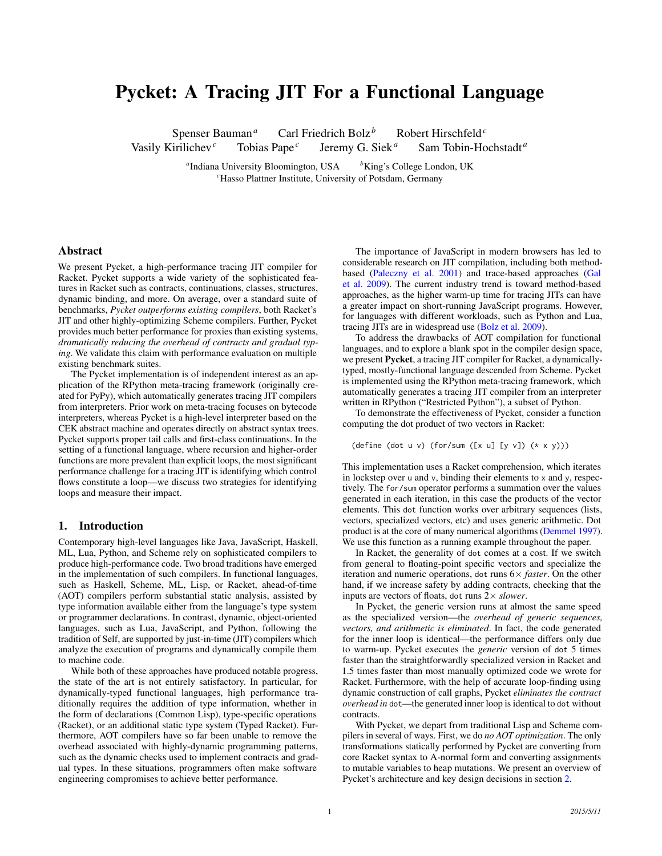# Pycket: A Tracing JIT For a Functional Language

Spenser Bauman<sup>*a*</sup> Carl Friedrich Bolz<sup>*b*</sup> Robert Hirschfeld<sup>*c*</sup> Vasily Kirilichev*<sup>c</sup>* Tobias Pape*<sup>c</sup>* Jeremy G. Siek<sup>a</sup> Sam Tobin-Hochstadt<sup>a</sup>

> <sup>a</sup> Indiana University Bloomington, USA  $b^k$ King's College London, UK *<sup>c</sup>*Hasso Plattner Institute, University of Potsdam, Germany

## Abstract

We present Pycket, a high-performance tracing JIT compiler for Racket. Pycket supports a wide variety of the sophisticated features in Racket such as contracts, continuations, classes, structures, dynamic binding, and more. On average, over a standard suite of benchmarks, *Pycket outperforms existing compilers*, both Racket's JIT and other highly-optimizing Scheme compilers. Further, Pycket provides much better performance for proxies than existing systems, *dramatically reducing the overhead of contracts and gradual typing*. We validate this claim with performance evaluation on multiple existing benchmark suites.

The Pycket implementation is of independent interest as an application of the RPython meta-tracing framework (originally created for PyPy), which automatically generates tracing JIT compilers from interpreters. Prior work on meta-tracing focuses on bytecode interpreters, whereas Pycket is a high-level interpreter based on the CEK abstract machine and operates directly on abstract syntax trees. Pycket supports proper tail calls and first-class continuations. In the setting of a functional language, where recursion and higher-order functions are more prevalent than explicit loops, the most significant performance challenge for a tracing JIT is identifying which control flows constitute a loop—we discuss two strategies for identifying loops and measure their impact.

#### 1. Introduction

Contemporary high-level languages like Java, JavaScript, Haskell, ML, Lua, Python, and Scheme rely on sophisticated compilers to produce high-performance code. Two broad traditions have emerged in the implementation of such compilers. In functional languages, such as Haskell, Scheme, ML, Lisp, or Racket, ahead-of-time (AOT) compilers perform substantial static analysis, assisted by type information available either from the language's type system or programmer declarations. In contrast, dynamic, object-oriented languages, such as Lua, JavaScript, and Python, following the tradition of Self, are supported by just-in-time (JIT) compilers which analyze the execution of programs and dynamically compile them to machine code.

While both of these approaches have produced notable progress, the state of the art is not entirely satisfactory. In particular, for dynamically-typed functional languages, high performance traditionally requires the addition of type information, whether in the form of declarations (Common Lisp), type-specific operations (Racket), or an additional static type system (Typed Racket). Furthermore, AOT compilers have so far been unable to remove the overhead associated with highly-dynamic programming patterns, such as the dynamic checks used to implement contracts and gradual types. In these situations, programmers often make software engineering compromises to achieve better performance.

The importance of JavaScript in modern browsers has led to considerable research on JIT compilation, including both methodbased [\(Paleczny et al.](#page-11-0) [2001\)](#page-11-0) and trace-based approaches [\(Gal](#page-11-1) [et al.](#page-11-1) [2009\)](#page-11-1). The current industry trend is toward method-based approaches, as the higher warm-up time for tracing JITs can have a greater impact on short-running JavaScript programs. However, for languages with different workloads, such as Python and Lua, tracing JITs are in widespread use [\(Bolz et al.](#page-10-0) [2009\)](#page-10-0).

To address the drawbacks of AOT compilation for functional languages, and to explore a blank spot in the compiler design space, we present Pycket, a tracing JIT compiler for Racket, a dynamicallytyped, mostly-functional language descended from Scheme. Pycket is implemented using the RPython meta-tracing framework, which automatically generates a tracing JIT compiler from an interpreter written in RPython ("Restricted Python"), a subset of Python.

To demonstrate the effectiveness of Pycket, consider a function computing the dot product of two vectors in Racket:

(define (dot u v) (for/sum ( $[x u] [y v]$ )  $(* x y)$ ))

This implementation uses a Racket comprehension, which iterates in lockstep over  $u$  and  $v$ , binding their elements to  $x$  and  $y$ , respectively. The for/sum operator performs a summation over the values generated in each iteration, in this case the products of the vector elements. This dot function works over arbitrary sequences (lists, vectors, specialized vectors, etc) and uses generic arithmetic. Dot product is at the core of many numerical algorithms [\(Demmel](#page-11-2) [1997\)](#page-11-2). We use this function as a running example throughout the paper.

In Racket, the generality of dot comes at a cost. If we switch from general to floating-point specific vectors and specialize the iteration and numeric operations, dot runs 6× *faster*. On the other hand, if we increase safety by adding contracts, checking that the inputs are vectors of floats, dot runs 2× *slower*.

In Pycket, the generic version runs at almost the same speed as the specialized version—the *overhead of generic sequences, vectors, and arithmetic is eliminated*. In fact, the code generated for the inner loop is identical—the performance differs only due to warm-up. Pycket executes the *generic* version of dot 5 times faster than the straightforwardly specialized version in Racket and 1.5 times faster than most manually optimized code we wrote for Racket. Furthermore, with the help of accurate loop-finding using dynamic construction of call graphs, Pycket *eliminates the contract overhead in* dot—the generated inner loop is identical to dot without contracts.

With Pycket, we depart from traditional Lisp and Scheme compilers in several of ways. First, we do *no AOT optimization*. The only transformations statically performed by Pycket are converting from core Racket syntax to A-normal form and converting assignments to mutable variables to heap mutations. We present an overview of Pycket's architecture and key design decisions in section [2.](#page-1-0)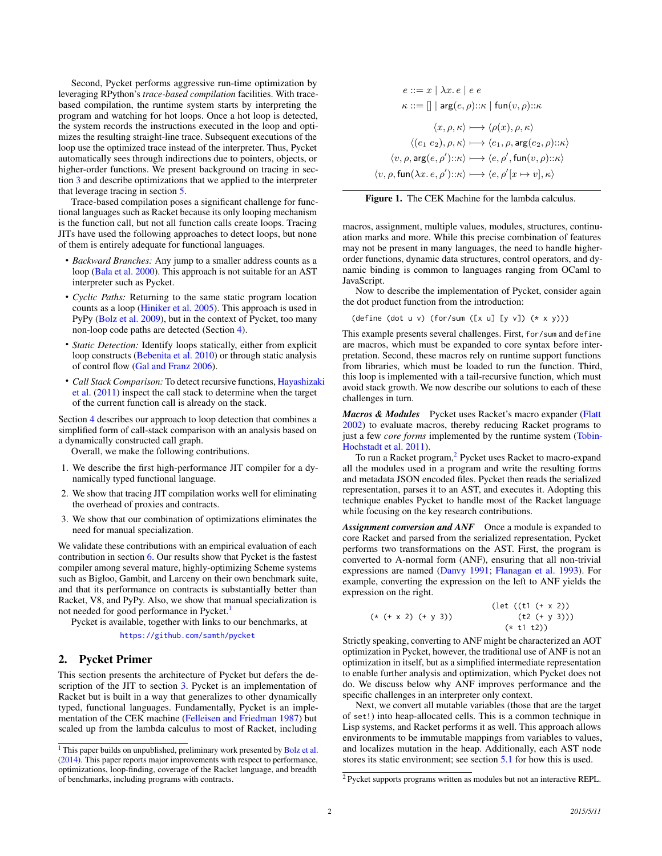Second, Pycket performs aggressive run-time optimization by leveraging RPython's *trace-based compilation* facilities. With tracebased compilation, the runtime system starts by interpreting the program and watching for hot loops. Once a hot loop is detected, the system records the instructions executed in the loop and optimizes the resulting straight-line trace. Subsequent executions of the loop use the optimized trace instead of the interpreter. Thus, Pycket automatically sees through indirections due to pointers, objects, or higher-order functions. We present background on tracing in section [3](#page-2-0) and describe optimizations that we applied to the interpreter that leverage tracing in section [5.](#page-5-0)

Trace-based compilation poses a significant challenge for functional languages such as Racket because its only looping mechanism is the function call, but not all function calls create loops. Tracing JITs have used the following approaches to detect loops, but none of them is entirely adequate for functional languages.

- *Backward Branches:* Any jump to a smaller address counts as a loop [\(Bala et al.](#page-10-1) [2000\)](#page-10-1). This approach is not suitable for an AST interpreter such as Pycket.
- *Cyclic Paths:* Returning to the same static program location counts as a loop [\(Hiniker et al.](#page-11-3) [2005\)](#page-11-3). This approach is used in PyPy [\(Bolz et al.](#page-10-0) [2009\)](#page-10-0), but in the context of Pycket, too many non-loop code paths are detected (Section [4\)](#page-4-0).
- *Static Detection:* Identify loops statically, either from explicit loop constructs [\(Bebenita et al.](#page-10-2) [2010\)](#page-10-2) or through static analysis of control flow [\(Gal and Franz](#page-11-4) [2006\)](#page-11-4).
- *Call Stack Comparison:* To detect recursive functions, [Hayashizak](#page-11-5)i [et al.](#page-11-5) [\(2011\)](#page-11-5) inspect the call stack to determine when the target of the current function call is already on the stack.

Section [4](#page-4-0) describes our approach to loop detection that combines a simplified form of call-stack comparison with an analysis based on a dynamically constructed call graph.

Overall, we make the following contributions.

- 1. We describe the first high-performance JIT compiler for a dynamically typed functional language.
- 2. We show that tracing JIT compilation works well for eliminating the overhead of proxies and contracts.
- 3. We show that our combination of optimizations eliminates the need for manual specialization.

We validate these contributions with an empirical evaluation of each contribution in section [6.](#page-7-0) Our results show that Pycket is the fastest compiler among several mature, highly-optimizing Scheme systems such as Bigloo, Gambit, and Larceny on their own benchmark suite, and that its performance on contracts is substantially better than Racket, V8, and PyPy. Also, we show that manual specialization is not needed for good performance in Pycket.<sup>[1](#page-1-1)</sup>

Pycket is available, together with links to our benchmarks, at

<https://github.com/samth/pycket>

# <span id="page-1-0"></span>2. Pycket Primer

This section presents the architecture of Pycket but defers the description of the JIT to section [3.](#page-2-0) Pycket is an implementation of Racket but is built in a way that generalizes to other dynamically typed, functional languages. Fundamentally, Pycket is an implementation of the CEK machine [\(Felleisen and Friedman](#page-11-6) [1987\)](#page-11-6) but scaled up from the lambda calculus to most of Racket, including

$$
e ::= x \mid \lambda x. e \mid e e
$$
\n
$$
\kappa ::= [] \mid \arg(e, \rho) :: \kappa \mid \text{fun}(v, \rho) :: \kappa
$$
\n
$$
\langle x, \rho, \kappa \rangle \longmapsto \langle \rho(x), \rho, \kappa \rangle
$$
\n
$$
\langle (e_1 \ e_2), \rho, \kappa \rangle \longmapsto \langle e_1, \rho, \arg(e_2, \rho) :: \kappa \rangle
$$
\n
$$
\langle v, \rho, \arg(e, \rho') :: \kappa \rangle \longmapsto \langle e, \rho', \text{fun}(v, \rho) :: \kappa \rangle
$$
\n
$$
\langle v, \rho, \text{fun}(\lambda x. e, \rho') :: \kappa \rangle \longmapsto \langle e, \rho'[x \mapsto v], \kappa \rangle
$$

<span id="page-1-3"></span>

macros, assignment, multiple values, modules, structures, continuation marks and more. While this precise combination of features may not be present in many languages, the need to handle higherorder functions, dynamic data structures, control operators, and dynamic binding is common to languages ranging from OCaml to JavaScript.

Now to describe the implementation of Pycket, consider again the dot product function from the introduction:

(define (dot u v) (for/sum ([x u] [y v]) (\* x y)))

This example presents several challenges. First, for/sum and define are macros, which must be expanded to core syntax before interpretation. Second, these macros rely on runtime support functions from libraries, which must be loaded to run the function. Third, this loop is implemented with a tail-recursive function, which must avoid stack growth. We now describe our solutions to each of these challenges in turn.

*Macros & Modules* Pycket uses Racket's macro expander [\(Flatt](#page-11-7) [2002\)](#page-11-7) to evaluate macros, thereby reducing Racket programs to just a few *core forms* implemented by the runtime system [\(Tobin-](#page-11-8)[Hochstadt et al.](#page-11-8) [2011\)](#page-11-8).

To run a Racket program,<sup>[2](#page-1-2)</sup> Pycket uses Racket to macro-expand all the modules used in a program and write the resulting forms and metadata JSON encoded files. Pycket then reads the serialized representation, parses it to an AST, and executes it. Adopting this technique enables Pycket to handle most of the Racket language while focusing on the key research contributions.

Assignment conversion and ANF Once a module is expanded to core Racket and parsed from the serialized representation, Pycket performs two transformations on the AST. First, the program is converted to A-normal form (ANF), ensuring that all non-trivial expressions are named [\(Danvy](#page-11-9) [1991;](#page-11-9) [Flanagan et al.](#page-11-10) [1993\)](#page-11-10). For example, converting the expression on the left to ANF yields the expression on the right.

$$
(* (+ x 2) (+ y 3))
$$
\n
$$
(* (+ x 2) (+ y 3))
$$
\n
$$
(* t 1 t 2))
$$

Strictly speaking, converting to ANF might be characterized an AOT optimization in Pycket, however, the traditional use of ANF is not an optimization in itself, but as a simplified intermediate representation to enable further analysis and optimization, which Pycket does not do. We discuss below why ANF improves performance and the specific challenges in an interpreter only context.

Next, we convert all mutable variables (those that are the target of set!) into heap-allocated cells. This is a common technique in Lisp systems, and Racket performs it as well. This approach allows environments to be immutable mappings from variables to values, and localizes mutation in the heap. Additionally, each AST node stores its static environment; see section [5.1](#page-5-1) for how this is used.

<span id="page-1-1"></span><sup>&</sup>lt;sup>1</sup> This paper builds on unpublished, preliminary work presented by [Bolz et al.](#page-10-3) [\(2014\)](#page-10-3). This paper reports major improvements with respect to performance, optimizations, loop-finding, coverage of the Racket language, and breadth of benchmarks, including programs with contracts.

<span id="page-1-2"></span><sup>2</sup> Pycket supports programs written as modules but not an interactive REPL.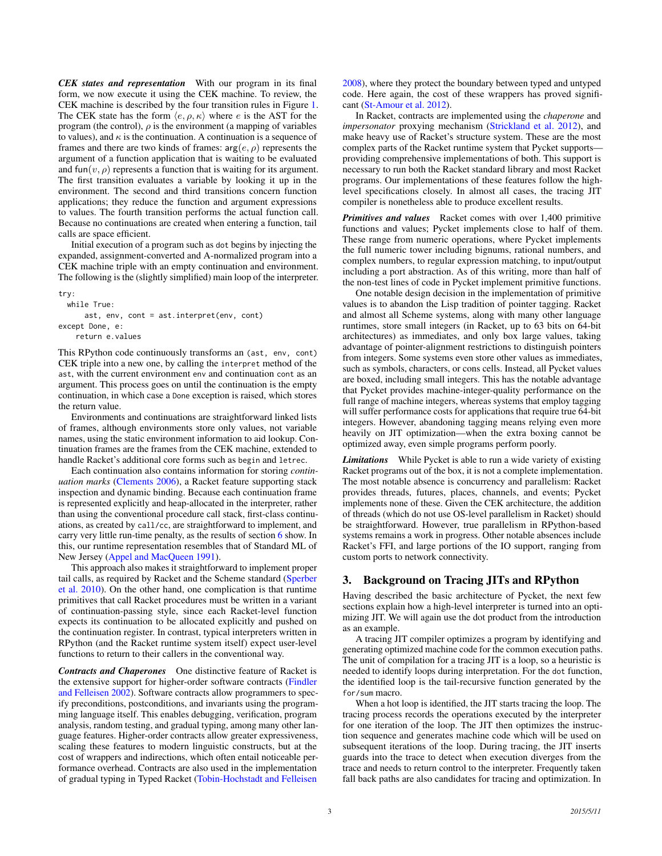*CEK states and representation* With our program in its final form, we now execute it using the CEK machine. To review, the CEK machine is described by the four transition rules in Figure [1.](#page-1-3) The CEK state has the form  $\langle e, \rho, \kappa \rangle$  where e is the AST for the program (the control),  $\rho$  is the environment (a mapping of variables to values), and  $\kappa$  is the continuation. A continuation is a sequence of frames and there are two kinds of frames:  $arg(e, \rho)$  represents the argument of a function application that is waiting to be evaluated and fun( $v, \rho$ ) represents a function that is waiting for its argument. The first transition evaluates a variable by looking it up in the environment. The second and third transitions concern function applications; they reduce the function and argument expressions to values. The fourth transition performs the actual function call. Because no continuations are created when entering a function, tail calls are space efficient.

Initial execution of a program such as dot begins by injecting the expanded, assignment-converted and A-normalized program into a CEK machine triple with an empty continuation and environment. The following is the (slightly simplified) main loop of the interpreter.

try:

while True: ast, env, cont = ast.interpret(env, cont) except Done, e: return e.values

This RPython code continuously transforms an (ast, env, cont) CEK triple into a new one, by calling the interpret method of the ast, with the current environment env and continuation cont as an argument. This process goes on until the continuation is the empty continuation, in which case a Done exception is raised, which stores the return value.

Environments and continuations are straightforward linked lists of frames, although environments store only values, not variable names, using the static environment information to aid lookup. Continuation frames are the frames from the CEK machine, extended to handle Racket's additional core forms such as begin and letrec.

Each continuation also contains information for storing *continuation marks* [\(Clements](#page-11-11) [2006\)](#page-11-11), a Racket feature supporting stack inspection and dynamic binding. Because each continuation frame is represented explicitly and heap-allocated in the interpreter, rather than using the conventional procedure call stack, first-class continuations, as created by call/cc, are straightforward to implement, and carry very little run-time penalty, as the results of section [6](#page-7-0) show. In this, our runtime representation resembles that of Standard ML of New Jersey [\(Appel and MacQueen](#page-10-4) [1991\)](#page-10-4).

This approach also makes it straightforward to implement proper tail calls, as required by Racket and the Scheme standard [\(Sperber](#page-11-12) [et al.](#page-11-12) [2010\)](#page-11-12). On the other hand, one complication is that runtime primitives that call Racket procedures must be written in a variant of continuation-passing style, since each Racket-level function expects its continuation to be allocated explicitly and pushed on the continuation register. In contrast, typical interpreters written in RPython (and the Racket runtime system itself) expect user-level functions to return to their callers in the conventional way.

*Contracts and Chaperones* One distinctive feature of Racket is the extensive support for higher-order software contracts [\(Findler](#page-11-13) [and Felleisen](#page-11-13) [2002\)](#page-11-13). Software contracts allow programmers to specify preconditions, postconditions, and invariants using the programming language itself. This enables debugging, verification, program analysis, random testing, and gradual typing, among many other language features. Higher-order contracts allow greater expressiveness, scaling these features to modern linguistic constructs, but at the cost of wrappers and indirections, which often entail noticeable performance overhead. Contracts are also used in the implementation of gradual typing in Typed Racket [\(Tobin-Hochstadt and Felleisen](#page-11-14)

[2008\)](#page-11-14), where they protect the boundary between typed and untyped code. Here again, the cost of these wrappers has proved significant [\(St-Amour et al.](#page-11-15) [2012\)](#page-11-15).

In Racket, contracts are implemented using the *chaperone* and *impersonator* proxying mechanism [\(Strickland et al.](#page-11-16) [2012\)](#page-11-16), and make heavy use of Racket's structure system. These are the most complex parts of the Racket runtime system that Pycket supports providing comprehensive implementations of both. This support is necessary to run both the Racket standard library and most Racket programs. Our implementations of these features follow the highlevel specifications closely. In almost all cases, the tracing JIT compiler is nonetheless able to produce excellent results.

*Primitives and values* Racket comes with over 1,400 primitive functions and values; Pycket implements close to half of them. These range from numeric operations, where Pycket implements the full numeric tower including bignums, rational numbers, and complex numbers, to regular expression matching, to input/output including a port abstraction. As of this writing, more than half of the non-test lines of code in Pycket implement primitive functions.

One notable design decision in the implementation of primitive values is to abandon the Lisp tradition of pointer tagging. Racket and almost all Scheme systems, along with many other language runtimes, store small integers (in Racket, up to 63 bits on 64-bit architectures) as immediates, and only box large values, taking advantage of pointer-alignment restrictions to distinguish pointers from integers. Some systems even store other values as immediates, such as symbols, characters, or cons cells. Instead, all Pycket values are boxed, including small integers. This has the notable advantage that Pycket provides machine-integer-quality performance on the full range of machine integers, whereas systems that employ tagging will suffer performance costs for applications that require true 64-bit integers. However, abandoning tagging means relying even more heavily on JIT optimization—when the extra boxing cannot be optimized away, even simple programs perform poorly.

*Limitations* While Pycket is able to run a wide variety of existing Racket programs out of the box, it is not a complete implementation. The most notable absence is concurrency and parallelism: Racket provides threads, futures, places, channels, and events; Pycket implements none of these. Given the CEK architecture, the addition of threads (which do not use OS-level parallelism in Racket) should be straightforward. However, true parallelism in RPython-based systems remains a work in progress. Other notable absences include Racket's FFI, and large portions of the IO support, ranging from custom ports to network connectivity.

# <span id="page-2-0"></span>3. Background on Tracing JITs and RPython

Having described the basic architecture of Pycket, the next few sections explain how a high-level interpreter is turned into an optimizing JIT. We will again use the dot product from the introduction as an example.

A tracing JIT compiler optimizes a program by identifying and generating optimized machine code for the common execution paths. The unit of compilation for a tracing JIT is a loop, so a heuristic is needed to identify loops during interpretation. For the dot function, the identified loop is the tail-recursive function generated by the for/sum macro.

When a hot loop is identified, the JIT starts tracing the loop. The tracing process records the operations executed by the interpreter for one iteration of the loop. The JIT then optimizes the instruction sequence and generates machine code which will be used on subsequent iterations of the loop. During tracing, the JIT inserts guards into the trace to detect when execution diverges from the trace and needs to return control to the interpreter. Frequently taken fall back paths are also candidates for tracing and optimization. In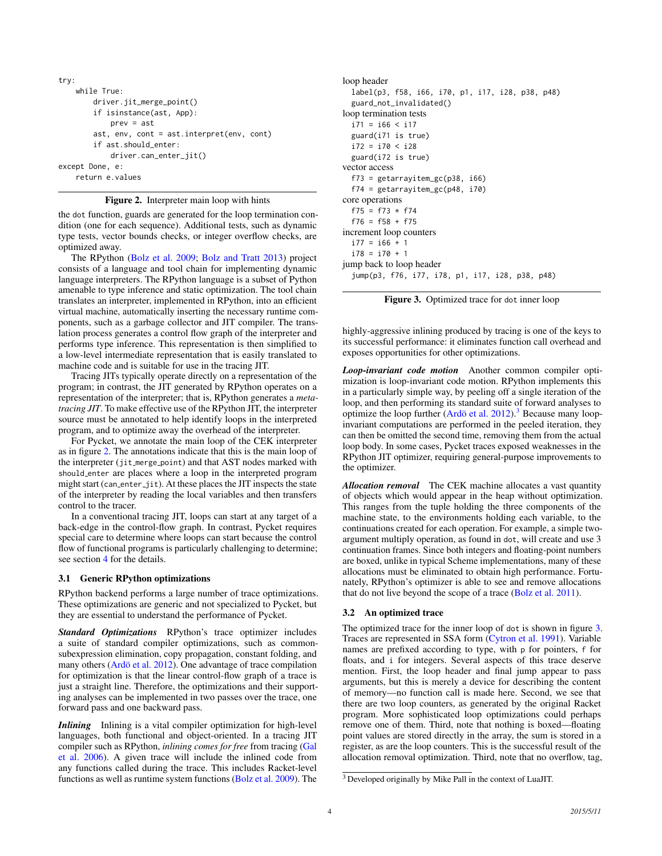```
try:
    while True:
        driver.jit_merge_point()
        if isinstance(ast, App):
            prev = ast
        ast, env, cont = ast.interpret(env, cont)
        if ast.should_enter:
            driver.can_enter_jit()
except Done, e:
    return e.values
```
<span id="page-3-0"></span>Figure 2. Interpreter main loop with hints

the dot function, guards are generated for the loop termination condition (one for each sequence). Additional tests, such as dynamic type tests, vector bounds checks, or integer overflow checks, are optimized away.

The RPython [\(Bolz et al.](#page-10-0) [2009;](#page-10-0) [Bolz and Tratt](#page-10-5) [2013\)](#page-10-5) project consists of a language and tool chain for implementing dynamic language interpreters. The RPython language is a subset of Python amenable to type inference and static optimization. The tool chain translates an interpreter, implemented in RPython, into an efficient virtual machine, automatically inserting the necessary runtime components, such as a garbage collector and JIT compiler. The translation process generates a control flow graph of the interpreter and performs type inference. This representation is then simplified to a low-level intermediate representation that is easily translated to machine code and is suitable for use in the tracing JIT.

Tracing JITs typically operate directly on a representation of the program; in contrast, the JIT generated by RPython operates on a representation of the interpreter; that is, RPython generates a *metatracing JIT*. To make effective use of the RPython JIT, the interpreter source must be annotated to help identify loops in the interpreted program, and to optimize away the overhead of the interpreter.

For Pycket, we annotate the main loop of the CEK interpreter as in figure [2.](#page-3-0) The annotations indicate that this is the main loop of the interpreter (jit\_merge\_point) and that AST nodes marked with should enter are places where a loop in the interpreted program might start (can enter jit). At these places the JIT inspects the state of the interpreter by reading the local variables and then transfers control to the tracer.

In a conventional tracing JIT, loops can start at any target of a back-edge in the control-flow graph. In contrast, Pycket requires special care to determine where loops can start because the control flow of functional programs is particularly challenging to determine; see section [4](#page-4-0) for the details.

#### 3.1 Generic RPython optimizations

RPython backend performs a large number of trace optimizations. These optimizations are generic and not specialized to Pycket, but they are essential to understand the performance of Pycket.

*Standard Optimizations* RPython's trace optimizer includes a suite of standard compiler optimizations, such as commonsubexpression elimination, copy propagation, constant folding, and many others (Ardö et al. [2012\)](#page-10-6). One advantage of trace compilation for optimization is that the linear control-flow graph of a trace is just a straight line. Therefore, the optimizations and their supporting analyses can be implemented in two passes over the trace, one forward pass and one backward pass.

*Inlining* Inlining is a vital compiler optimization for high-level languages, both functional and object-oriented. In a tracing JIT compiler such as RPython, *inlining comes for free* from tracing [\(Gal](#page-11-17) [et al.](#page-11-17) [2006\)](#page-11-17). A given trace will include the inlined code from any functions called during the trace. This includes Racket-level functions as well as runtime system functions [\(Bolz et al.](#page-10-0) [2009\)](#page-10-0). The

```
loop header
  label(p3, f58, i66, i70, p1, i17, i28, p38, p48)
  guard_not_invalidated()
loop termination tests
  i71 = i66 < i17guard(i71 is true)
  i72 = i70 < i28guard(i72 is true)
vector access
  f73 = getarrayitem_gc(p38, i66)
  f74 = getarrayitem_gc(p48, i70)
core operations
  f75 = f73 * f74f76 = f58 + f75
increment loop counters
  i77 = i66 + 1i78 = i70 + 1
jump back to loop header
  jump(p3, f76, i77, i78, p1, i17, i28, p38, p48)
```
<span id="page-3-2"></span>

highly-aggressive inlining produced by tracing is one of the keys to its successful performance: it eliminates function call overhead and exposes opportunities for other optimizations.

*Loop-invariant code motion* Another common compiler optimization is loop-invariant code motion. RPython implements this in a particularly simple way, by peeling off a single iteration of the loop, and then performing its standard suite of forward analyses to optimize the loop further (Ardö et al.  $2012$ ).<sup>[3](#page-3-1)</sup> Because many loopinvariant computations are performed in the peeled iteration, they can then be omitted the second time, removing them from the actual loop body. In some cases, Pycket traces exposed weaknesses in the RPython JIT optimizer, requiring general-purpose improvements to the optimizer.

*Allocation removal* The CEK machine allocates a vast quantity of objects which would appear in the heap without optimization. This ranges from the tuple holding the three components of the machine state, to the environments holding each variable, to the continuations created for each operation. For example, a simple twoargument multiply operation, as found in dot, will create and use 3 continuation frames. Since both integers and floating-point numbers are boxed, unlike in typical Scheme implementations, many of these allocations must be eliminated to obtain high performance. Fortunately, RPython's optimizer is able to see and remove allocations that do not live beyond the scope of a trace [\(Bolz et al.](#page-10-7) [2011\)](#page-10-7).

# 3.2 An optimized trace

The optimized trace for the inner loop of dot is shown in figure [3.](#page-3-2) Traces are represented in SSA form [\(Cytron et al.](#page-11-18) [1991\)](#page-11-18). Variable names are prefixed according to type, with p for pointers, f for floats, and i for integers. Several aspects of this trace deserve mention. First, the loop header and final jump appear to pass arguments, but this is merely a device for describing the content of memory—no function call is made here. Second, we see that there are two loop counters, as generated by the original Racket program. More sophisticated loop optimizations could perhaps remove one of them. Third, note that nothing is boxed—floating point values are stored directly in the array, the sum is stored in a register, as are the loop counters. This is the successful result of the allocation removal optimization. Third, note that no overflow, tag,

<span id="page-3-1"></span><sup>3</sup> Developed originally by Mike Pall in the context of LuaJIT.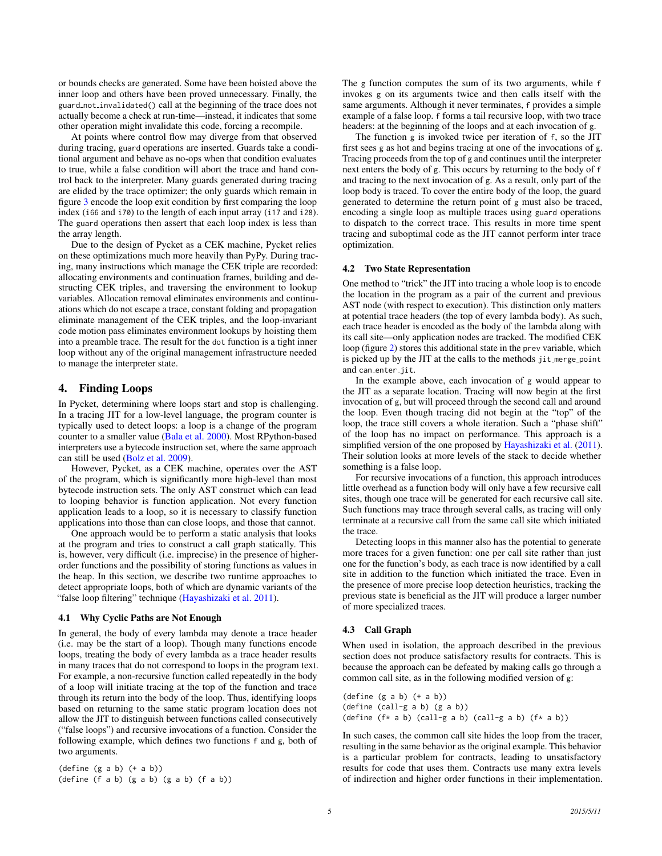or bounds checks are generated. Some have been hoisted above the inner loop and others have been proved unnecessary. Finally, the guard not invalidated() call at the beginning of the trace does not actually become a check at run-time—instead, it indicates that some other operation might invalidate this code, forcing a recompile.

At points where control flow may diverge from that observed during tracing, guard operations are inserted. Guards take a conditional argument and behave as no-ops when that condition evaluates to true, while a false condition will abort the trace and hand control back to the interpreter. Many guards generated during tracing are elided by the trace optimizer; the only guards which remain in figure [3](#page-3-2) encode the loop exit condition by first comparing the loop index (i66 and i70) to the length of each input array (i17 and i28). The guard operations then assert that each loop index is less than the array length.

Due to the design of Pycket as a CEK machine, Pycket relies on these optimizations much more heavily than PyPy. During tracing, many instructions which manage the CEK triple are recorded: allocating environments and continuation frames, building and destructing CEK triples, and traversing the environment to lookup variables. Allocation removal eliminates environments and continuations which do not escape a trace, constant folding and propagation eliminate management of the CEK triples, and the loop-invariant code motion pass eliminates environment lookups by hoisting them into a preamble trace. The result for the dot function is a tight inner loop without any of the original management infrastructure needed to manage the interpreter state.

# <span id="page-4-0"></span>4. Finding Loops

In Pycket, determining where loops start and stop is challenging. In a tracing JIT for a low-level language, the program counter is typically used to detect loops: a loop is a change of the program counter to a smaller value [\(Bala et al.](#page-10-1) [2000\)](#page-10-1). Most RPython-based interpreters use a bytecode instruction set, where the same approach can still be used [\(Bolz et al.](#page-10-0) [2009\)](#page-10-0).

However, Pycket, as a CEK machine, operates over the AST of the program, which is significantly more high-level than most bytecode instruction sets. The only AST construct which can lead to looping behavior is function application. Not every function application leads to a loop, so it is necessary to classify function applications into those than can close loops, and those that cannot.

One approach would be to perform a static analysis that looks at the program and tries to construct a call graph statically. This is, however, very difficult (i.e. imprecise) in the presence of higherorder functions and the possibility of storing functions as values in the heap. In this section, we describe two runtime approaches to detect appropriate loops, both of which are dynamic variants of the "false loop filtering" technique [\(Hayashizaki et al.](#page-11-5) [2011\)](#page-11-5).

#### 4.1 Why Cyclic Paths are Not Enough

In general, the body of every lambda may denote a trace header (i.e. may be the start of a loop). Though many functions encode loops, treating the body of every lambda as a trace header results in many traces that do not correspond to loops in the program text. For example, a non-recursive function called repeatedly in the body of a loop will initiate tracing at the top of the function and trace through its return into the body of the loop. Thus, identifying loops based on returning to the same static program location does not allow the JIT to distinguish between functions called consecutively ("false loops") and recursive invocations of a function. Consider the following example, which defines two functions f and g, both of two arguments.

 $(\text{define } (g \text{ a b}) (+ a b))$ (define (f a b) (g a b) (g a b) (f a b)) The g function computes the sum of its two arguments, while f invokes g on its arguments twice and then calls itself with the same arguments. Although it never terminates, f provides a simple example of a false loop. f forms a tail recursive loop, with two trace headers: at the beginning of the loops and at each invocation of g.

The function g is invoked twice per iteration of f, so the JIT first sees g as hot and begins tracing at one of the invocations of g. Tracing proceeds from the top of g and continues until the interpreter next enters the body of g. This occurs by returning to the body of f and tracing to the next invocation of g. As a result, only part of the loop body is traced. To cover the entire body of the loop, the guard generated to determine the return point of g must also be traced, encoding a single loop as multiple traces using guard operations to dispatch to the correct trace. This results in more time spent tracing and suboptimal code as the JIT cannot perform inter trace optimization.

#### 4.2 Two State Representation

One method to "trick" the JIT into tracing a whole loop is to encode the location in the program as a pair of the current and previous AST node (with respect to execution). This distinction only matters at potential trace headers (the top of every lambda body). As such, each trace header is encoded as the body of the lambda along with its call site—only application nodes are tracked. The modified CEK loop (figure [2\)](#page-3-0) stores this additional state in the prev variable, which is picked up by the JIT at the calls to the methods jit\_merge\_point and can\_enter\_jit.

In the example above, each invocation of g would appear to the JIT as a separate location. Tracing will now begin at the first invocation of g, but will proceed through the second call and around the loop. Even though tracing did not begin at the "top" of the loop, the trace still covers a whole iteration. Such a "phase shift" of the loop has no impact on performance. This approach is a simplified version of the one proposed by [Hayashizaki et al.](#page-11-5) [\(2011\)](#page-11-5). Their solution looks at more levels of the stack to decide whether something is a false loop.

For recursive invocations of a function, this approach introduces little overhead as a function body will only have a few recursive call sites, though one trace will be generated for each recursive call site. Such functions may trace through several calls, as tracing will only terminate at a recursive call from the same call site which initiated the trace.

Detecting loops in this manner also has the potential to generate more traces for a given function: one per call site rather than just one for the function's body, as each trace is now identified by a call site in addition to the function which initiated the trace. Even in the presence of more precise loop detection heuristics, tracking the previous state is beneficial as the JIT will produce a larger number of more specialized traces.

#### <span id="page-4-1"></span>4.3 Call Graph

When used in isolation, the approach described in the previous section does not produce satisfactory results for contracts. This is because the approach can be defeated by making calls go through a common call site, as in the following modified version of g:

 $(detine (g a b) (+ a b))$ (define (call-g a b) (g a b)) (define  $(f* a b)$  (call-g a b) (call-g a b)  $(f* a b)$ )

In such cases, the common call site hides the loop from the tracer, resulting in the same behavior as the original example. This behavior is a particular problem for contracts, leading to unsatisfactory results for code that uses them. Contracts use many extra levels of indirection and higher order functions in their implementation.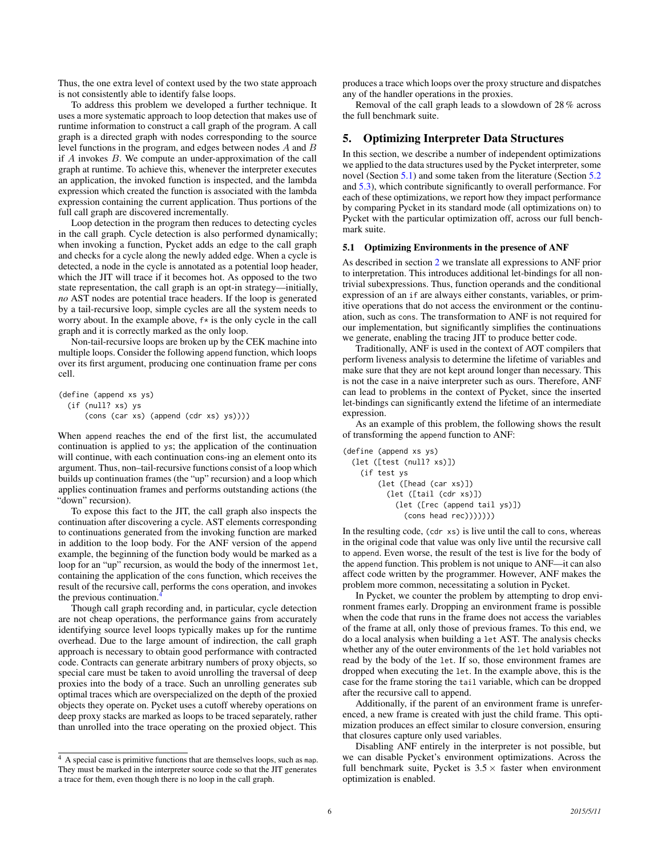Thus, the one extra level of context used by the two state approach is not consistently able to identify false loops.

To address this problem we developed a further technique. It uses a more systematic approach to loop detection that makes use of runtime information to construct a call graph of the program. A call graph is a directed graph with nodes corresponding to the source level functions in the program, and edges between nodes A and B if A invokes B. We compute an under-approximation of the call graph at runtime. To achieve this, whenever the interpreter executes an application, the invoked function is inspected, and the lambda expression which created the function is associated with the lambda expression containing the current application. Thus portions of the full call graph are discovered incrementally.

Loop detection in the program then reduces to detecting cycles in the call graph. Cycle detection is also performed dynamically; when invoking a function, Pycket adds an edge to the call graph and checks for a cycle along the newly added edge. When a cycle is detected, a node in the cycle is annotated as a potential loop header, which the JIT will trace if it becomes hot. As opposed to the two state representation, the call graph is an opt-in strategy—initially, *no* AST nodes are potential trace headers. If the loop is generated by a tail-recursive loop, simple cycles are all the system needs to worry about. In the example above, f\* is the only cycle in the call graph and it is correctly marked as the only loop.

Non-tail-recursive loops are broken up by the CEK machine into multiple loops. Consider the following append function, which loops over its first argument, producing one continuation frame per cons cell.

(define (append xs ys) (if (null? xs) ys (cons (car xs) (append (cdr xs) ys))))

When append reaches the end of the first list, the accumulated continuation is applied to ys; the application of the continuation will continue, with each continuation cons-ing an element onto its argument. Thus, non–tail-recursive functions consist of a loop which builds up continuation frames (the "up" recursion) and a loop which applies continuation frames and performs outstanding actions (the "down" recursion).

To expose this fact to the JIT, the call graph also inspects the continuation after discovering a cycle. AST elements corresponding to continuations generated from the invoking function are marked in addition to the loop body. For the ANF version of the append example, the beginning of the function body would be marked as a loop for an "up" recursion, as would the body of the innermost let, containing the application of the cons function, which receives the result of the recursive call, performs the cons operation, and invokes the previous continuation.<sup>[4](#page-5-2)</sup>

Though call graph recording and, in particular, cycle detection are not cheap operations, the performance gains from accurately identifying source level loops typically makes up for the runtime overhead. Due to the large amount of indirection, the call graph approach is necessary to obtain good performance with contracted code. Contracts can generate arbitrary numbers of proxy objects, so special care must be taken to avoid unrolling the traversal of deep proxies into the body of a trace. Such an unrolling generates sub optimal traces which are overspecialized on the depth of the proxied objects they operate on. Pycket uses a cutoff whereby operations on deep proxy stacks are marked as loops to be traced separately, rather than unrolled into the trace operating on the proxied object. This

<span id="page-5-2"></span><sup>4</sup> A special case is primitive functions that are themselves loops, such as map. They must be marked in the interpreter source code so that the JIT generates a trace for them, even though there is no loop in the call graph.

produces a trace which loops over the proxy structure and dispatches any of the handler operations in the proxies.

Removal of the call graph leads to a slowdown of 28 % across the full benchmark suite.

# <span id="page-5-0"></span>5. Optimizing Interpreter Data Structures

In this section, we describe a number of independent optimizations we applied to the data structures used by the Pycket interpreter, some novel (Section [5.1\)](#page-5-1) and some taken from the literature (Section [5.2](#page-6-0) and [5.3\)](#page-6-1), which contribute significantly to overall performance. For each of these optimizations, we report how they impact performance by comparing Pycket in its standard mode (all optimizations on) to Pycket with the particular optimization off, across our full benchmark suite.

#### <span id="page-5-1"></span>5.1 Optimizing Environments in the presence of ANF

As described in section [2](#page-1-0) we translate all expressions to ANF prior to interpretation. This introduces additional let-bindings for all nontrivial subexpressions. Thus, function operands and the conditional expression of an if are always either constants, variables, or primitive operations that do not access the environment or the continuation, such as cons. The transformation to ANF is not required for our implementation, but significantly simplifies the continuations we generate, enabling the tracing JIT to produce better code.

Traditionally, ANF is used in the context of AOT compilers that perform liveness analysis to determine the lifetime of variables and make sure that they are not kept around longer than necessary. This is not the case in a naive interpreter such as ours. Therefore, ANF can lead to problems in the context of Pycket, since the inserted let-bindings can significantly extend the lifetime of an intermediate expression.

As an example of this problem, the following shows the result of transforming the append function to ANF:

```
(define (append xs ys)
 (let ([test (null? xs)])
   (if test ys
       (let ([head (car xs)])
         (let ([tail (cdr xs)])
            (let ([rec (append tail ys)])
              (cons head rec)))))))
```
In the resulting code, (cdr xs) is live until the call to cons, whereas in the original code that value was only live until the recursive call to append. Even worse, the result of the test is live for the body of the append function. This problem is not unique to ANF—it can also affect code written by the programmer. However, ANF makes the problem more common, necessitating a solution in Pycket.

In Pycket, we counter the problem by attempting to drop environment frames early. Dropping an environment frame is possible when the code that runs in the frame does not access the variables of the frame at all, only those of previous frames. To this end, we do a local analysis when building a let AST. The analysis checks whether any of the outer environments of the let hold variables not read by the body of the let. If so, those environment frames are dropped when executing the let. In the example above, this is the case for the frame storing the tail variable, which can be dropped after the recursive call to append.

Additionally, if the parent of an environment frame is unreferenced, a new frame is created with just the child frame. This optimization produces an effect similar to closure conversion, ensuring that closures capture only used variables.

Disabling ANF entirely in the interpreter is not possible, but we can disable Pycket's environment optimizations. Across the full benchmark suite, Pycket is  $3.5 \times$  faster when environment optimization is enabled.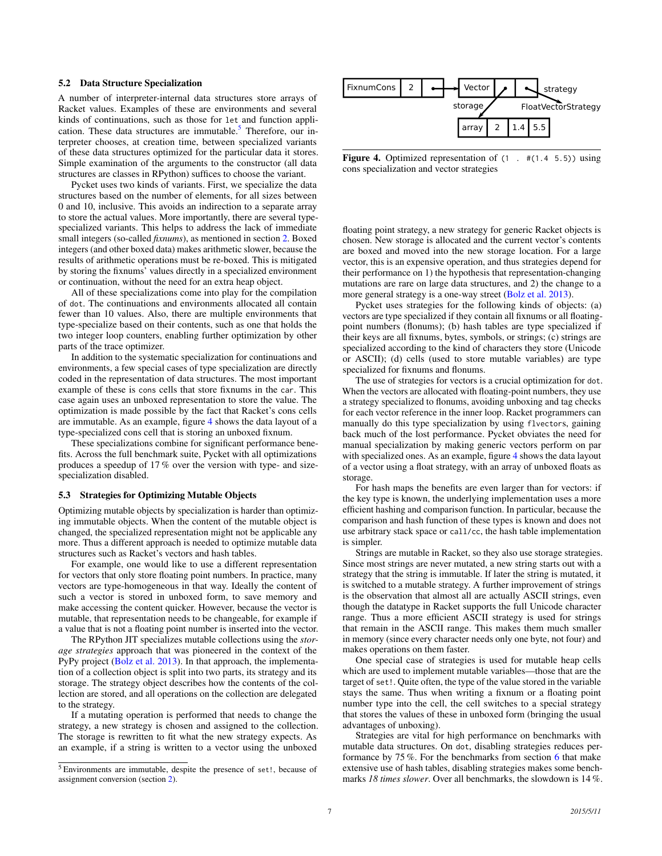# <span id="page-6-0"></span>5.2 Data Structure Specialization

A number of interpreter-internal data structures store arrays of Racket values. Examples of these are environments and several kinds of continuations, such as those for let and function appli-cation. These data structures are immutable.<sup>[5](#page-6-2)</sup> Therefore, our interpreter chooses, at creation time, between specialized variants of these data structures optimized for the particular data it stores. Simple examination of the arguments to the constructor (all data structures are classes in RPython) suffices to choose the variant.

Pycket uses two kinds of variants. First, we specialize the data structures based on the number of elements, for all sizes between 0 and 10, inclusive. This avoids an indirection to a separate array to store the actual values. More importantly, there are several typespecialized variants. This helps to address the lack of immediate small integers (so-called *fixnums*), as mentioned in section [2.](#page-1-0) Boxed integers (and other boxed data) makes arithmetic slower, because the results of arithmetic operations must be re-boxed. This is mitigated by storing the fixnums' values directly in a specialized environment or continuation, without the need for an extra heap object.

All of these specializations come into play for the compilation of dot. The continuations and environments allocated all contain fewer than 10 values. Also, there are multiple environments that type-specialize based on their contents, such as one that holds the two integer loop counters, enabling further optimization by other parts of the trace optimizer.

In addition to the systematic specialization for continuations and environments, a few special cases of type specialization are directly coded in the representation of data structures. The most important example of these is cons cells that store fixnums in the car. This case again uses an unboxed representation to store the value. The optimization is made possible by the fact that Racket's cons cells are immutable. As an example, figure [4](#page-6-3) shows the data layout of a type-specialized cons cell that is storing an unboxed fixnum.

These specializations combine for significant performance benefits. Across the full benchmark suite, Pycket with all optimizations produces a speedup of 17 % over the version with type- and sizespecialization disabled.

#### <span id="page-6-1"></span>5.3 Strategies for Optimizing Mutable Objects

Optimizing mutable objects by specialization is harder than optimizing immutable objects. When the content of the mutable object is changed, the specialized representation might not be applicable any more. Thus a different approach is needed to optimize mutable data structures such as Racket's vectors and hash tables.

For example, one would like to use a different representation for vectors that only store floating point numbers. In practice, many vectors are type-homogeneous in that way. Ideally the content of such a vector is stored in unboxed form, to save memory and make accessing the content quicker. However, because the vector is mutable, that representation needs to be changeable, for example if a value that is not a floating point number is inserted into the vector.

The RPython JIT specializes mutable collections using the *storage strategies* approach that was pioneered in the context of the PyPy project [\(Bolz et al.](#page-10-8) [2013\)](#page-10-8). In that approach, the implementation of a collection object is split into two parts, its strategy and its storage. The strategy object describes how the contents of the collection are stored, and all operations on the collection are delegated to the strategy.

If a mutating operation is performed that needs to change the strategy, a new strategy is chosen and assigned to the collection. The storage is rewritten to fit what the new strategy expects. As an example, if a string is written to a vector using the unboxed



<span id="page-6-3"></span>Figure 4. Optimized representation of  $(1 + \text{\#}(1.4 \text{ 5.5}))$  using cons specialization and vector strategies

floating point strategy, a new strategy for generic Racket objects is chosen. New storage is allocated and the current vector's contents are boxed and moved into the new storage location. For a large vector, this is an expensive operation, and thus strategies depend for their performance on 1) the hypothesis that representation-changing mutations are rare on large data structures, and 2) the change to a more general strategy is a one-way street [\(Bolz et al.](#page-10-8) [2013\)](#page-10-8).

Pycket uses strategies for the following kinds of objects: (a) vectors are type specialized if they contain all fixnums or all floatingpoint numbers (flonums); (b) hash tables are type specialized if their keys are all fixnums, bytes, symbols, or strings; (c) strings are specialized according to the kind of characters they store (Unicode or ASCII); (d) cells (used to store mutable variables) are type specialized for fixnums and flonums.

The use of strategies for vectors is a crucial optimization for dot. When the vectors are allocated with floating-point numbers, they use a strategy specialized to flonums, avoiding unboxing and tag checks for each vector reference in the inner loop. Racket programmers can manually do this type specialization by using flvectors, gaining back much of the lost performance. Pycket obviates the need for manual specialization by making generic vectors perform on par with specialized ones. As an example, figure [4](#page-6-3) shows the data layout of a vector using a float strategy, with an array of unboxed floats as storage.

For hash maps the benefits are even larger than for vectors: if the key type is known, the underlying implementation uses a more efficient hashing and comparison function. In particular, because the comparison and hash function of these types is known and does not use arbitrary stack space or call/cc, the hash table implementation is simpler.

Strings are mutable in Racket, so they also use storage strategies. Since most strings are never mutated, a new string starts out with a strategy that the string is immutable. If later the string is mutated, it is switched to a mutable strategy. A further improvement of strings is the observation that almost all are actually ASCII strings, even though the datatype in Racket supports the full Unicode character range. Thus a more efficient ASCII strategy is used for strings that remain in the ASCII range. This makes them much smaller in memory (since every character needs only one byte, not four) and makes operations on them faster.

One special case of strategies is used for mutable heap cells which are used to implement mutable variables—those that are the target of set!. Quite often, the type of the value stored in the variable stays the same. Thus when writing a fixnum or a floating point number type into the cell, the cell switches to a special strategy that stores the values of these in unboxed form (bringing the usual advantages of unboxing).

Strategies are vital for high performance on benchmarks with mutable data structures. On dot, disabling strategies reduces performance by 75 %. For the benchmarks from section [6](#page-7-0) that make extensive use of hash tables, disabling strategies makes some benchmarks *18 times slower*. Over all benchmarks, the slowdown is 14 %.

<span id="page-6-2"></span><sup>5</sup> Environments are immutable, despite the presence of set!, because of assignment conversion (section [2\)](#page-1-0).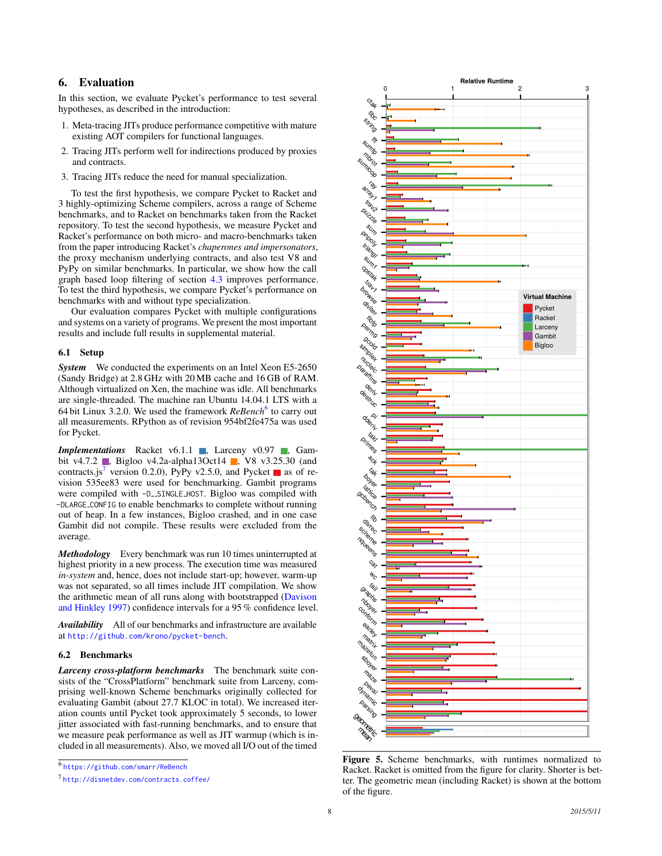# <span id="page-7-0"></span>6. Evaluation

In this section, we evaluate Pycket's performance to test several hypotheses, as described in the introduction:

- 1. Meta-tracing JITs produce performance competitive with mature existing AOT compilers for functional languages.
- 2. Tracing JITs perform well for indirections produced by proxies and contracts.
- 3. Tracing JITs reduce the need for manual specialization.

To test the first hypothesis, we compare Pycket to Racket and 3 highly-optimizing Scheme compilers, across a range of Scheme benchmarks, and to Racket on benchmarks taken from the Racket repository. To test the second hypothesis, we measure Pycket and Racket's performance on both micro- and macro-benchmarks taken from the paper introducing Racket's *chaperones and impersonators*, the proxy mechanism underlying contracts, and also test V8 and PyPy on similar benchmarks. In particular, we show how the call graph based loop filtering of section [4.3](#page-4-1) improves performance. To test the third hypothesis, we compare Pycket's performance on benchmarks with and without type specialization.

Our evaluation compares Pycket with multiple configurations and systems on a variety of programs. We present the most important results and include full results in supplemental material.

#### 6.1 Setup

*System* We conducted the experiments on an Intel Xeon E5-2650 (Sandy Bridge) at 2.8 GHz with 20 MB cache and 16 GB of RAM. Although virtualized on Xen, the machine was idle. All benchmarks are single-threaded. The machine ran Ubuntu 14.04.1 LTS with a [6](#page-7-1)4 bit Linux 3.2.0. We used the framework *ReBench*<sup>6</sup> to carry out all measurements. RPython as of revision 954bf2fe475a was used for Pycket.

*Implementations* Racket v6.1.1 , Larceny v0.97 , Gambit v4.7.2 , Bigloo v4.2a-alpha13Oct14 , V8 v3.25.30 (and contracts.js<sup>[7](#page-7-2)</sup> version 0.2.0), PyPy v2.5.0, and Pycket as of revision 535ee83 were used for benchmarking. Gambit programs were compiled with -D\_SINGLE\_HOST. Bigloo was compiled with -DLARGE CONFIG to enable benchmarks to complete without running out of heap. In a few instances, Bigloo crashed, and in one case Gambit did not compile. These results were excluded from the average.

*Methodology* Every benchmark was run 10 times uninterrupted at highest priority in a new process. The execution time was measured *in-system* and, hence, does not include start-up; however, warm-up was not separated, so all times include JIT compilation. We show the arithmetic mean of all runs along with bootstrapped [\(Davison](#page-11-19) [and Hinkley](#page-11-19) [1997\)](#page-11-19) confidence intervals for a 95 % confidence level.

*Availability* All of our benchmarks and infrastructure are available at <http://github.com/krono/pycket-bench>.

#### 6.2 Benchmarks

*Larceny cross-platform benchmarks* The benchmark suite consists of the "CrossPlatform" benchmark suite from Larceny, comprising well-known Scheme benchmarks originally collected for evaluating Gambit (about 27.7 KLOC in total). We increased iteration counts until Pycket took approximately 5 seconds, to lower jitter associated with fast-running benchmarks, and to ensure that we measure peak performance as well as JIT warmup (which is included in all measurements). Also, we moved all I/O out of the timed

<span id="page-7-1"></span>6 <https://github.com/smarr/ReBench>



<span id="page-7-3"></span>Figure 5. Scheme benchmarks, with runtimes normalized to Racket. Racket is omitted from the figure for clarity. Shorter is better. The geometric mean (including Racket) is shown at the bottom of the figure.

<span id="page-7-2"></span><sup>7</sup> <http://disnetdev.com/contracts.coffee/>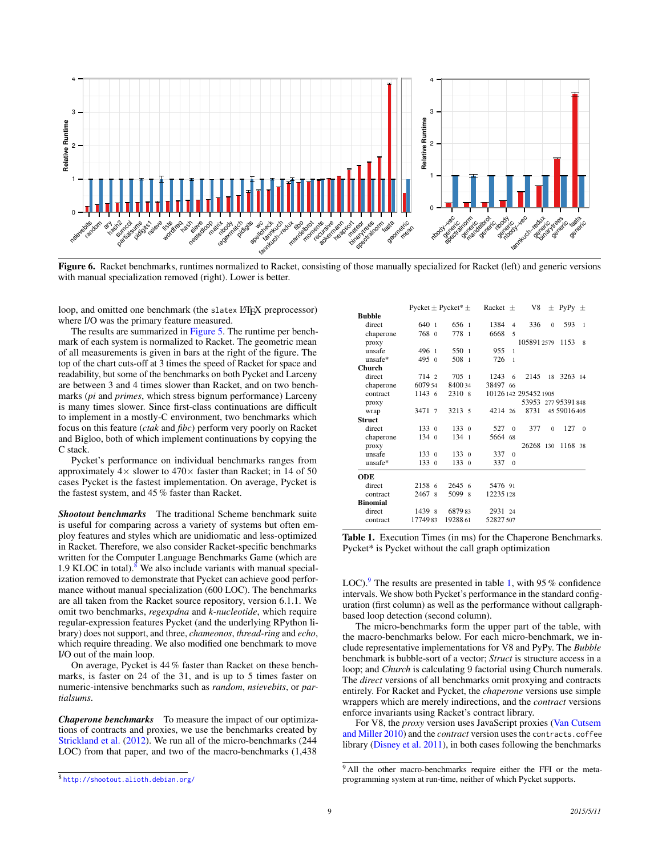

Figure 6. Racket benchmarks, runtimes normalized to Racket, consisting of those manually specialized for Racket (left) and generic versions with manual specialization removed (right). Lower is better.

loop, and omitted one benchmark (the slatex LATEX preprocessor) where I/O was the primary feature measured.

The results are summarized in [Figure 5.](#page-7-3) The runtime per benchmark of each system is normalized to Racket. The geometric mean of all measurements is given in bars at the right of the figure. The top of the chart cuts-off at 3 times the speed of Racket for space and readability, but some of the benchmarks on both Pycket and Larceny are between 3 and 4 times slower than Racket, and on two benchmarks (*pi* and *primes*, which stress bignum performance) Larceny is many times slower. Since first-class continuations are difficult to implement in a mostly-C environment, two benchmarks which focus on this feature (*ctak* and *fibc*) perform very poorly on Racket and Bigloo, both of which implement continuations by copying the C stack.

Pycket's performance on individual benchmarks ranges from approximately  $4 \times$  slower to  $470 \times$  faster than Racket; in 14 of 50 cases Pycket is the fastest implementation. On average, Pycket is the fastest system, and 45 % faster than Racket.

*Shootout benchmarks* The traditional Scheme benchmark suite is useful for comparing across a variety of systems but often employ features and styles which are unidiomatic and less-optimized in Racket. Therefore, we also consider Racket-specific benchmarks written for the Computer Language Benchmarks Game (which are 1.9 KLOC in total). $8$  We also include variants with manual specialization removed to demonstrate that Pycket can achieve good performance without manual specialization (600 LOC). The benchmarks are all taken from the Racket source repository, version 6.1.1. We omit two benchmarks, *regexpdna* and *k-nucleotide*, which require regular-expression features Pycket (and the underlying RPython library) does not support, and three, *chameonos*, *thread-ring* and *echo*, which require threading. We also modified one benchmark to move I/O out of the main loop.

On average, Pycket is 44 % faster than Racket on these benchmarks, is faster on 24 of the 31, and is up to 5 times faster on numeric-intensive benchmarks such as *random*, *nsievebits*, or *partialsums*.

*Chaperone benchmarks* To measure the impact of our optimizations of contracts and proxies, we use the benchmarks created by [Strickland et al.](#page-11-16) [\(2012\)](#page-11-16). We run all of the micro-benchmarks (244 LOC) from that paper, and two of the macro-benchmarks (1,438

|                 | Pycket $\pm$ Pycket* $\pm$ |                  | Racket $\pm$ |                | V8                    |          | $\pm$ PyPy $\pm$ |                |
|-----------------|----------------------------|------------------|--------------|----------------|-----------------------|----------|------------------|----------------|
| <b>Bubble</b>   |                            |                  |              |                |                       |          |                  |                |
| direct          | 640 1                      | 656 1            | 1384         | $\overline{4}$ | 336                   | $\Omega$ | 593              | $\overline{1}$ |
| chaperone       | 768 0                      | 778 1            | 6668         | 5              |                       |          |                  |                |
| proxy           |                            |                  |              |                | 105891 2579           |          | 1153             | 8              |
| unsafe          | 496 1                      | 550 1            | 955          | $\mathbf{1}$   |                       |          |                  |                |
| $unsafe*$       | 4950                       | 508 1            | 726          | $\mathbf{1}$   |                       |          |                  |                |
| Church          |                            |                  |              |                |                       |          |                  |                |
| direct          | 714 2                      | 705 <sub>1</sub> | 1243         | 6              | 2145                  | 18       | 3263 14          |                |
| chaperone       | 6079 54                    | 840034           | 38497 66     |                |                       |          |                  |                |
| contract        | 11436                      | 2310 8           |              |                | 10126 142 295452 1905 |          |                  |                |
| proxy           |                            |                  |              |                | 53953 277 95391 848   |          |                  |                |
| wrap            | 3471 7                     | 3213 5           | 4214 26      |                | 8731                  |          | 45 59016 405     |                |
| <b>Struct</b>   |                            |                  |              |                |                       |          |                  |                |
| direct          | 1330                       | 1330             | 527          | $\theta$       | 377                   | $\theta$ | 127              | $\Omega$       |
| chaperone       | 134.0                      | 134 <sub>1</sub> | 5664         | 68             |                       |          |                  |                |
| proxy           |                            |                  |              |                | 26268 130             |          | 1168 38          |                |
| unsafe          | 1330                       | 1330             | 337          | $\theta$       |                       |          |                  |                |
| unsafe*         | 1330                       | 1330             | 337          | $\theta$       |                       |          |                  |                |
| ODE             |                            |                  |              |                |                       |          |                  |                |
| direct          | 2158 6                     | 26456            | 5476 91      |                |                       |          |                  |                |
| contract        | 2467 8                     | 5099 8           | 12235 128    |                |                       |          |                  |                |
| <b>Binomial</b> |                            |                  |              |                |                       |          |                  |                |
| direct          | 1439 8                     | 687983           | 2931 24      |                |                       |          |                  |                |
| contract        | 1774983                    | 19288.61         | 52827 507    |                |                       |          |                  |                |

<span id="page-8-2"></span>Table 1. Execution Times (in ms) for the Chaperone Benchmarks. Pycket\* is Pycket without the call graph optimization

LOC).<sup>[9](#page-8-1)</sup> The results are presented in table [1,](#page-8-2) with 95 % confidence intervals. We show both Pycket's performance in the standard configuration (first column) as well as the performance without callgraphbased loop detection (second column).

The micro-benchmarks form the upper part of the table, with the macro-benchmarks below. For each micro-benchmark, we include representative implementations for V8 and PyPy. The *Bubble* benchmark is bubble-sort of a vector; *Struct* is structure access in a loop; and *Church* is calculating 9 factorial using Church numerals. The *direct* versions of all benchmarks omit proxying and contracts entirely. For Racket and Pycket, the *chaperone* versions use simple wrappers which are merely indirections, and the *contract* versions enforce invariants using Racket's contract library.

For V8, the *proxy* version uses JavaScript proxies [\(Van Cutsem](#page-11-20) [and Miller](#page-11-20) [2010\)](#page-11-20) and the *contract* version uses the contracts.coffee library [\(Disney et al.](#page-11-21) [2011\)](#page-11-21), in both cases following the benchmarks

<span id="page-8-0"></span><sup>8</sup> <http://shootout.alioth.debian.org/>

<span id="page-8-1"></span><sup>&</sup>lt;sup>9</sup> All the other macro-benchmarks require either the FFI or the metaprogramming system at run-time, neither of which Pycket supports.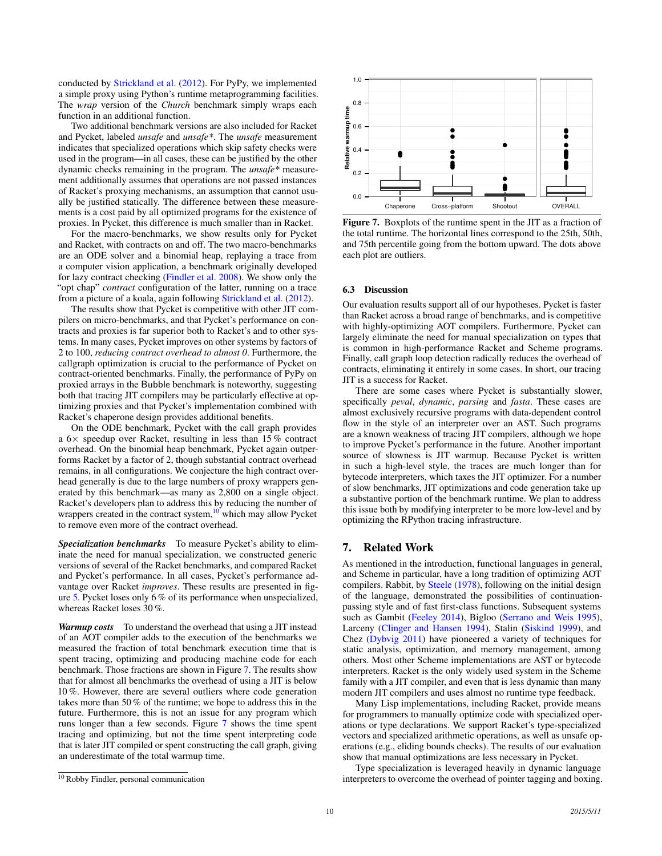conducted by [Strickland et al.](#page-11-16) [\(2012\)](#page-11-16). For PyPy, we implemented a simple proxy using Python's runtime metaprogramming facilities. The *wrap* version of the *Church* benchmark simply wraps each function in an additional function.

Two additional benchmark versions are also included for Racket and Pycket, labeled *unsafe* and *unsafe\**. The *unsafe* measurement indicates that specialized operations which skip safety checks were used in the program—in all cases, these can be justified by the other dynamic checks remaining in the program. The *unsafe\** measurement additionally assumes that operations are not passed instances of Racket's proxying mechanisms, an assumption that cannot usually be justified statically. The difference between these measurements is a cost paid by all optimized programs for the existence of proxies. In Pycket, this difference is much smaller than in Racket.

For the macro-benchmarks, we show results only for Pycket and Racket, with contracts on and off. The two macro-benchmarks are an ODE solver and a binomial heap, replaying a trace from a computer vision application, a benchmark originally developed for lazy contract checking [\(Findler et al.](#page-11-22) [2008\)](#page-11-22). We show only the "opt chap" *contract* configuration of the latter, running on a trace from a picture of a koala, again following [Strickland et al.](#page-11-16) [\(2012\)](#page-11-16).

The results show that Pycket is competitive with other JIT compilers on micro-benchmarks, and that Pycket's performance on contracts and proxies is far superior both to Racket's and to other systems. In many cases, Pycket improves on other systems by factors of 2 to 100, *reducing contract overhead to almost 0*. Furthermore, the callgraph optimization is crucial to the performance of Pycket on contract-oriented benchmarks. Finally, the performance of PyPy on proxied arrays in the Bubble benchmark is noteworthy, suggesting both that tracing JIT compilers may be particularly effective at optimizing proxies and that Pycket's implementation combined with Racket's chaperone design provides additional benefits.

On the ODE benchmark, Pycket with the call graph provides a 6× speedup over Racket, resulting in less than 15 % contract overhead. On the binomial heap benchmark, Pycket again outperforms Racket by a factor of 2, though substantial contract overhead remains, in all configurations. We conjecture the high contract overhead generally is due to the large numbers of proxy wrappers generated by this benchmark—as many as 2,800 on a single object. Racket's developers plan to address this by reducing the number of wrappers created in the contract system,<sup>[10](#page-9-0)</sup> which may allow Pycket to remove even more of the contract overhead.

*Specialization benchmarks* To measure Pycket's ability to eliminate the need for manual specialization, we constructed generic versions of several of the Racket benchmarks, and compared Racket and Pycket's performance. In all cases, Pycket's performance advantage over Racket *improves*. These results are presented in figure [5.](#page-7-3) Pycket loses only 6 % of its performance when unspecialized, whereas Racket loses 30 %.

*Warmup costs* To understand the overhead that using a JIT instead of an AOT compiler adds to the execution of the benchmarks we measured the fraction of total benchmark execution time that is spent tracing, optimizing and producing machine code for each benchmark. Those fractions are shown in Figure [7.](#page-9-1) The results show that for almost all benchmarks the overhead of using a JIT is below 10 %. However, there are several outliers where code generation takes more than 50 % of the runtime; we hope to address this in the future. Furthermore, this is not an issue for any program which runs longer than a few seconds. Figure [7](#page-9-1) shows the time spent tracing and optimizing, but not the time spent interpreting code that is later JIT compiled or spent constructing the call graph, giving an underestimate of the total warmup time.



<span id="page-9-1"></span>Figure 7. Boxplots of the runtime spent in the JIT as a fraction of the total runtime. The horizontal lines correspond to the 25th, 50th, and 75th percentile going from the bottom upward. The dots above each plot are outliers.

#### 6.3 Discussion

Our evaluation results support all of our hypotheses. Pycket is faster than Racket across a broad range of benchmarks, and is competitive with highly-optimizing AOT compilers. Furthermore, Pycket can largely eliminate the need for manual specialization on types that is common in high-performance Racket and Scheme programs. Finally, call graph loop detection radically reduces the overhead of contracts, eliminating it entirely in some cases. In short, our tracing JIT is a success for Racket.

There are some cases where Pycket is substantially slower, specifically *peval*, *dynamic*, *parsing* and *fasta*. These cases are almost exclusively recursive programs with data-dependent control flow in the style of an interpreter over an AST. Such programs are a known weakness of tracing JIT compilers, although we hope to improve Pycket's performance in the future. Another important source of slowness is JIT warmup. Because Pycket is written in such a high-level style, the traces are much longer than for bytecode interpreters, which taxes the JIT optimizer. For a number of slow benchmarks, JIT optimizations and code generation take up a substantive portion of the benchmark runtime. We plan to address this issue both by modifying interpreter to be more low-level and by optimizing the RPython tracing infrastructure.

## 7. Related Work

As mentioned in the introduction, functional languages in general, and Scheme in particular, have a long tradition of optimizing AOT compilers. Rabbit, by [Steele](#page-11-23) [\(1978\)](#page-11-23), following on the initial design of the language, demonstrated the possibilities of continuationpassing style and of fast first-class functions. Subsequent systems such as Gambit [\(Feeley](#page-11-24) [2014\)](#page-11-24), Bigloo [\(Serrano and Weis](#page-11-25) [1995\)](#page-11-25), Larceny [\(Clinger and Hansen](#page-11-26) [1994\)](#page-11-26), Stalin [\(Siskind](#page-11-27) [1999\)](#page-11-27), and Chez [\(Dybvig](#page-11-28) [2011\)](#page-11-28) have pioneered a variety of techniques for static analysis, optimization, and memory management, among others. Most other Scheme implementations are AST or bytecode interpreters. Racket is the only widely used system in the Scheme family with a JIT compiler, and even that is less dynamic than many modern JIT compilers and uses almost no runtime type feedback.

Many Lisp implementations, including Racket, provide means for programmers to manually optimize code with specialized operations or type declarations. We support Racket's type-specialized vectors and specialized arithmetic operations, as well as unsafe operations (e.g., eliding bounds checks). The results of our evaluation show that manual optimizations are less necessary in Pycket.

Type specialization is leveraged heavily in dynamic language interpreters to overcome the overhead of pointer tagging and boxing.

<span id="page-9-0"></span><sup>10</sup> Robby Findler, personal communication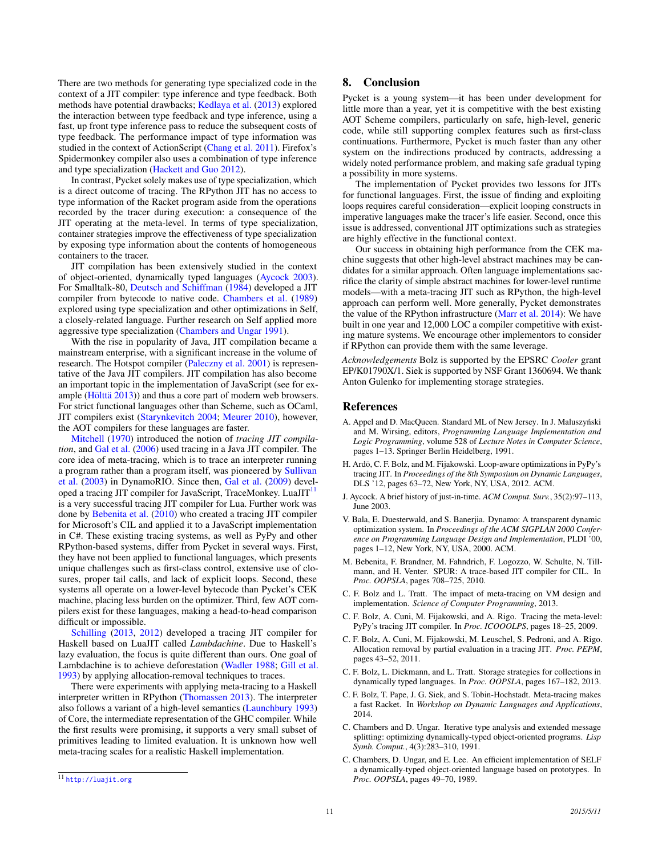There are two methods for generating type specialized code in the context of a JIT compiler: type inference and type feedback. Both methods have potential drawbacks; [Kedlaya et al.](#page-11-29) [\(2013\)](#page-11-29) explored the interaction between type feedback and type inference, using a fast, up front type inference pass to reduce the subsequent costs of type feedback. The performance impact of type information was studied in the context of ActionScript [\(Chang et al.](#page-11-30) [2011\)](#page-11-30). Firefox's Spidermonkey compiler also uses a combination of type inference and type specialization [\(Hackett and Guo](#page-11-31) [2012\)](#page-11-31).

In contrast, Pycket solely makes use of type specialization, which is a direct outcome of tracing. The RPython JIT has no access to type information of the Racket program aside from the operations recorded by the tracer during execution: a consequence of the JIT operating at the meta-level. In terms of type specialization, container strategies improve the effectiveness of type specialization by exposing type information about the contents of homogeneous containers to the tracer.

JIT compilation has been extensively studied in the context of object-oriented, dynamically typed languages [\(Aycock](#page-10-9) [2003\)](#page-10-9). For Smalltalk-80, [Deutsch and Schiffman](#page-11-32) [\(1984\)](#page-11-32) developed a JIT compiler from bytecode to native code. [Chambers et al.](#page-10-10) [\(1989\)](#page-10-10) explored using type specialization and other optimizations in Self, a closely-related language. Further research on Self applied more aggressive type specialization [\(Chambers and Ungar](#page-10-11) [1991\)](#page-10-11).

With the rise in popularity of Java, JIT compilation became a mainstream enterprise, with a significant increase in the volume of research. The Hotspot compiler [\(Paleczny et al.](#page-11-0) [2001\)](#page-11-0) is representative of the Java JIT compilers. JIT compilation has also become an important topic in the implementation of JavaScript (see for example (Hölttä  $2013$ ) and thus a core part of modern web browsers. For strict functional languages other than Scheme, such as OCaml, JIT compilers exist [\(Starynkevitch](#page-11-34) [2004;](#page-11-34) [Meurer](#page-11-35) [2010\)](#page-11-35), however, the AOT compilers for these languages are faster.

[Mitchell](#page-11-36) [\(1970\)](#page-11-36) introduced the notion of *tracing JIT compilation*, and [Gal et al.](#page-11-17) [\(2006\)](#page-11-17) used tracing in a Java JIT compiler. The core idea of meta-tracing, which is to trace an interpreter running a program rather than a program itself, was pioneered by [Sullivan](#page-11-37) [et al.](#page-11-37) [\(2003\)](#page-11-37) in DynamoRIO. Since then, [Gal et al.](#page-11-1) [\(2009\)](#page-11-1) devel-oped a tracing JIT compiler for JavaScript, TraceMonkey. LuaJIT<sup>[11](#page-10-12)</sup> is a very successful tracing JIT compiler for Lua. Further work was done by [Bebenita et al.](#page-10-2) [\(2010\)](#page-10-2) who created a tracing JIT compiler for Microsoft's CIL and applied it to a JavaScript implementation in C#. These existing tracing systems, as well as PyPy and other RPython-based systems, differ from Pycket in several ways. First, they have not been applied to functional languages, which presents unique challenges such as first-class control, extensive use of closures, proper tail calls, and lack of explicit loops. Second, these systems all operate on a lower-level bytecode than Pycket's CEK machine, placing less burden on the optimizer. Third, few AOT compilers exist for these languages, making a head-to-head comparison difficult or impossible.

[Schilling](#page-11-38) [\(2013,](#page-11-38) [2012\)](#page-11-39) developed a tracing JIT compiler for Haskell based on LuaJIT called *Lambdachine*. Due to Haskell's lazy evaluation, the focus is quite different than ours. One goal of Lambdachine is to achieve deforestation [\(Wadler](#page-11-40) [1988;](#page-11-40) [Gill et al.](#page-11-41) [1993\)](#page-11-41) by applying allocation-removal techniques to traces.

There were experiments with applying meta-tracing to a Haskell interpreter written in RPython [\(Thomassen](#page-11-42) [2013\)](#page-11-42). The interpreter also follows a variant of a high-level semantics [\(Launchbury](#page-11-43) [1993\)](#page-11-43) of Core, the intermediate representation of the GHC compiler. While the first results were promising, it supports a very small subset of primitives leading to limited evaluation. It is unknown how well meta-tracing scales for a realistic Haskell implementation.

# 8. Conclusion

Pycket is a young system—it has been under development for little more than a year, yet it is competitive with the best existing AOT Scheme compilers, particularly on safe, high-level, generic code, while still supporting complex features such as first-class continuations. Furthermore, Pycket is much faster than any other system on the indirections produced by contracts, addressing a widely noted performance problem, and making safe gradual typing a possibility in more systems.

The implementation of Pycket provides two lessons for JITs for functional languages. First, the issue of finding and exploiting loops requires careful consideration—explicit looping constructs in imperative languages make the tracer's life easier. Second, once this issue is addressed, conventional JIT optimizations such as strategies are highly effective in the functional context.

Our success in obtaining high performance from the CEK machine suggests that other high-level abstract machines may be candidates for a similar approach. Often language implementations sacrifice the clarity of simple abstract machines for lower-level runtime models—with a meta-tracing JIT such as RPython, the high-level approach can perform well. More generally, Pycket demonstrates the value of the RPython infrastructure [\(Marr et al.](#page-11-44) [2014\)](#page-11-44): We have built in one year and 12,000 LOC a compiler competitive with existing mature systems. We encourage other implementors to consider if RPython can provide them with the same leverage.

*Acknowledgements* Bolz is supported by the EPSRC *Cooler* grant EP/K01790X/1. Siek is supported by NSF Grant 1360694. We thank Anton Gulenko for implementing storage strategies.

#### References

- <span id="page-10-4"></span>A. Appel and D. MacQueen. Standard ML of New Jersey. In J. Maluszyński and M. Wirsing, editors, *Programming Language Implementation and Logic Programming*, volume 528 of *Lecture Notes in Computer Science*, pages 1–13. Springer Berlin Heidelberg, 1991.
- <span id="page-10-6"></span>H. Ardö, C. F. Bolz, and M. Fijakowski. Loop-aware optimizations in PyPy's tracing JIT. In *Proceedings of the 8th Symposium on Dynamic Languages*, DLS '12, pages 63–72, New York, NY, USA, 2012. ACM.
- <span id="page-10-9"></span>J. Aycock. A brief history of just-in-time. *ACM Comput. Surv.*, 35(2):97–113, June 2003.
- <span id="page-10-1"></span>V. Bala, E. Duesterwald, and S. Banerjia. Dynamo: A transparent dynamic optimization system. In *Proceedings of the ACM SIGPLAN 2000 Conference on Programming Language Design and Implementation*, PLDI '00, pages 1–12, New York, NY, USA, 2000. ACM.
- <span id="page-10-2"></span>M. Bebenita, F. Brandner, M. Fahndrich, F. Logozzo, W. Schulte, N. Tillmann, and H. Venter. SPUR: A trace-based JIT compiler for CIL. In *Proc. OOPSLA*, pages 708–725, 2010.
- <span id="page-10-5"></span>C. F. Bolz and L. Tratt. The impact of meta-tracing on VM design and implementation. *Science of Computer Programming*, 2013.
- <span id="page-10-0"></span>C. F. Bolz, A. Cuni, M. Fijakowski, and A. Rigo. Tracing the meta-level: PyPy's tracing JIT compiler. In *Proc. ICOOOLPS*, pages 18–25, 2009.
- <span id="page-10-7"></span>C. F. Bolz, A. Cuni, M. Fijakowski, M. Leuschel, S. Pedroni, and A. Rigo. Allocation removal by partial evaluation in a tracing JIT. *Proc. PEPM*, pages 43–52, 2011.
- <span id="page-10-8"></span>C. F. Bolz, L. Diekmann, and L. Tratt. Storage strategies for collections in dynamically typed languages. In *Proc. OOPSLA*, pages 167–182, 2013.
- <span id="page-10-3"></span>C. F. Bolz, T. Pape, J. G. Siek, and S. Tobin-Hochstadt. Meta-tracing makes a fast Racket. In *Workshop on Dynamic Languages and Applications*, 2014.
- <span id="page-10-11"></span>C. Chambers and D. Ungar. Iterative type analysis and extended message splitting: optimizing dynamically-typed object-oriented programs. *Lisp Symb. Comput.*, 4(3):283–310, 1991.
- <span id="page-10-10"></span>C. Chambers, D. Ungar, and E. Lee. An efficient implementation of SELF a dynamically-typed object-oriented language based on prototypes. In *Proc. OOPSLA*, pages 49–70, 1989.

<span id="page-10-12"></span><sup>11</sup> <http://luajit.org>